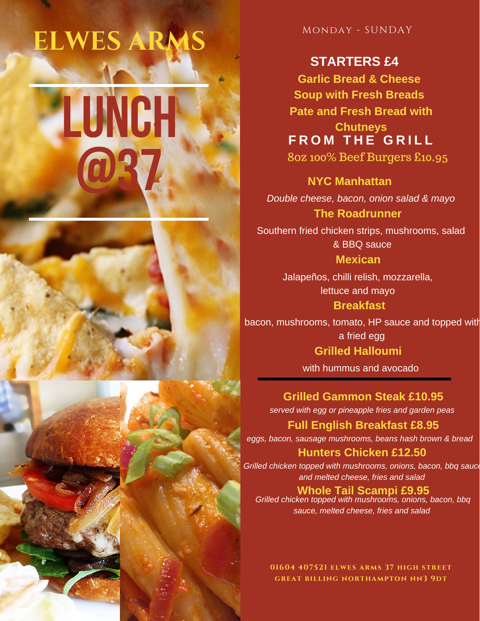# LUNCH @37 **ELWES ARA**

Monday - SUNDAY

## **STARTERS £4**

**Garlic Bread & Cheese Soup with Fresh Breads Pate and Fresh Bread with Chutneys**

**F R O M T H E G R I L L** 8oz 100% Beef Burgers £10.95

**NYC Manhattan** *Double cheese, bacon, onion salad & mayo* **The Roadrunner**

Southern fried chicken strips, mushrooms, salad & BBQ sauce **Mexican**

> Jalapeños, chilli relish, mozzarella, lettuce and mayo **Breakfast**

bacon, mushrooms, tomato, HP sauce and topped with a fried egg

**Grilled Halloumi**

with hummus and avocado

**Grilled Gammon Steak £10.95** *served with egg or pineapple fries and garden peas*

**Full English Breakfast £8.95**

*eggs, bacon, sausage mushrooms, beans hash brown & bread*

### **Hunters Chicken £12.50**

*Grilled chicken topped with mushrooms, onions, bacon, bbq sauce and melted cheese, fries and salad*

**Whole Tail Scampi £9.95**

*Grilled chicken topped with mushrooms, onions, bacon, bbq sauce, melted cheese, fries and salad*

**01604 407521 elwes arms 37 high street great billing northampton nn3 9dt**